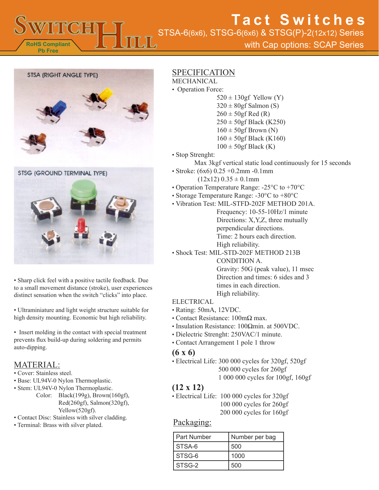

# STSA-6(6x6), STSG-6(6x6) & STSG(P)-2(12x12) Series **Tact Switches**

with Cap options: SCAP Series



STSG (GROUND TERMINAL TYPE)



• Sharp click feel with a positive tactile feedback. Due to a small movement distance (stroke), user experiences distinct sensation when the switch "clicks" into place.

• Ultraminiature and light weight structure suitable for high density mounting. Economic but high reliability.

• Insert molding in the contact with special treatment prevents flux build-up during soldering and permits auto-dipping.

### MATERIAL:

- Cover: Stainless steel.
- Base: UL94V-0 Nylon Thermoplastic.
- Stem: UL94V-0 Nylon Thermoplastic.
	- Color: Black(199g), Brown(160gf), Red(260gf), Salmon(320gf), Yellow(520gf).
- Contact Disc: Stainless with silver cladding.
- Terminal: Brass with silver plated.

### SPECIFICATION

- MECHANICAL
- Operation Force:
	- $520 \pm 130$ gf Yellow (Y)  $320 \pm 80$ gf Salmon (S)  $260 \pm 50$ gf Red (R)  $250 \pm 50$ gf Black (K250)  $160 \pm 50$ gf Brown (N)  $160 \pm 50$ gf Black (K160)
		- $100 \pm 50$ gf Black (K)
- Stop Strenght:
	- Max 3kgf vertical static load continuously for 15 seconds
- Stroke: (6x6) 0.25 +0.2mm -0.1mm  $(12x12)$  0.35  $\pm$  0.1mm
- Operation Temperature Range: -25°C to +70°C
- Storage Temperature Range: -30°C to +80°C
- Vibration Test: MIL-STFD-202F METHOD 201A.
	- Frequency: 10-55-10Hz/1 minute Directions: X,Y,Z, three mutually perpendicular directions. Time: 2 hours each direction. High reliability.
- Shock Test: MIL-STD-202F METHOD 213B CONDITION A. Gravity: 50G (peak value), 11 msec Direction and times: 6 sides and 3 times in each direction.

High reliability.

- ELECTRICAL
- Rating: 50mA, 12VDC.
- Contact Resistance: 100mΩ max.
- Insulation Resistance: 100Ωmin. at 500VDC.
- Dielectric Strenght: 250VAC/1 minute.
- Contact Arrangement 1 pole 1 throw

### **(6 x 6)**

• Electrical Life: 300 000 cycles for 320gf, 520gf 500 000 cycles for 260gf 1 000 000 cycles for 100gf, 160gf

# **(12 x 12)**

• Electrical Life: 100 000 cycles for 320gf 100 000 cycles for 260gf 200 000 cycles for 160gf

## Packaging:

| I Part Number | Number per bag |
|---------------|----------------|
| STSA-6        | 500            |
| STSG-6        | 1000           |
| STSG-2        | 500            |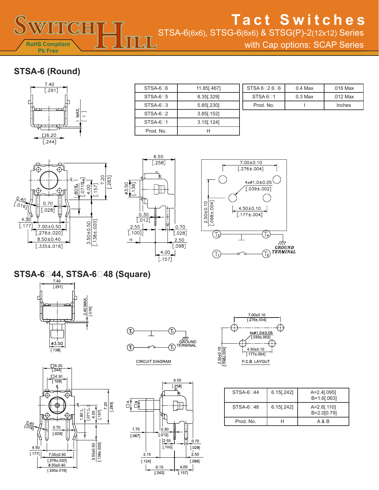STSA-6(6x6), STSG-6(6x6) & STSG(P)-2(12x12) Series

with Cap options: SCAP Series

# **STSA-6 (Round)**

**RoHS Compliant Pb Free**



| STSA-6 <sup>D</sup> 6 | 11.85 [467]   |
|-----------------------|---------------|
| $STSA-6$ <sub>5</sub> | 8.35 [.329]   |
| $STSA-63$             | 5.85 [.230]   |
| $STSA-62$             | 3.85 [.152]   |
| STSA-6 <sup>1</sup>   | $3.15$ [.124] |
| Prod. No.             |               |

| 71 | STSA 62606          | $0.4$ Max | .016 Max   |
|----|---------------------|-----------|------------|
|    | STSA 6 <sub>1</sub> | $0.3$ Max | $.012$ Max |
|    | Prod. No.           |           | Inches     |
|    |                     |           |            |







# **STSA-644, STSA-648 (Square)**



 $\frac{\Box 6.20}{[.244]}$  $\square$ 4.30

 $\overline{[}$ . 169]

0.70

 $\overline{[.028]}$ 

7.00±0.50

 $[.276 \pm .020]$ 

 $8.50 \pm 0.40$ 

 $[.335 \pm .016]$ 

 $\frac{0.40}{1.076}$ 

٢١

 $4.50$ 

 $\overline{[.177]}$ 

⊕

 $\overline{\mathbb{Q}}$ ा

 $1.80\substack{+0 \\ -0.5}$  $\begin{array}{c|c} 1.071 & 0.01 \\ 4.00 & 1.071 \end{array}$ 

 $\frac{7.20}{1.283}$ 

 $\frac{3.50 \pm 0.50}{[138 \pm .020]}$ 



CIRCUIT DIAGRAM





| $STSA-6-44$ | $6.15$ [.242] | $A = 2.4$ [.095]<br>$B = 1.6$ [.063] |
|-------------|---------------|--------------------------------------|
| $STSA-6-48$ | $6.15$ [.242] | $A = 2.8$ [.110]<br>B=2.0[0.79]      |
| Prod. No.   | н             | A & B                                |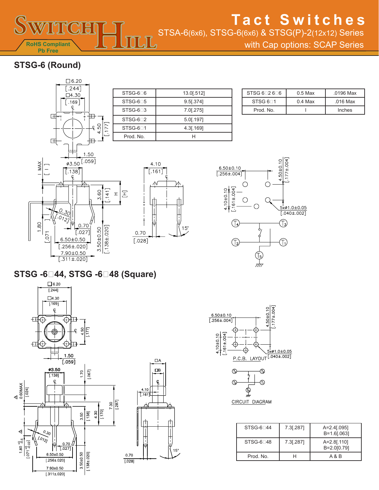

STSA-6(6x6), STSG-6(6x6) & STSG(P)-2(12x12) Series

with Cap options: SCAP Series

# **STSG-6 (Round)**



| STSG-6 <sup>6</sup> | 13.0[.512]   |
|---------------------|--------------|
| $STSG-6$ 5          | $9.5$ [.374] |
| STSG-6 <sup>3</sup> | $7.0$ [.275] |
| $STSG-6$ 2          | 5.0[.197]    |
| STSG-6 <sup>1</sup> | 4.3[.169]    |
| Prod. No.           |              |

 $4.10$ 

 $\overline{[.161]}$ 

₼

曲

 $0.70$ 

 $[.028]$ 

 $15^{\circ}$ 

 $15^{\circ}$ 

<u>LJL,</u>

| STSG $6 \square 2 6 \square 6$ | $0.5$ Max | .0196 Max |
|--------------------------------|-----------|-----------|
| STSG 6 <sub>1</sub>            | $0.4$ Max | .016 Max  |
| Prod. No.                      |           | Inches    |



**STSG -644, STSG -648 (Square)**







| $STSG-6144$ | 7.3[.287] | $A = 2.4$ [.095]<br>$B = 1.6$ [.063] |
|-------------|-----------|--------------------------------------|
| $STSG-6148$ | 7.3[.287] | $A = 2.8$ [.110]<br>B=2.0[0.79]      |
| Prod. No.   |           | A & B                                |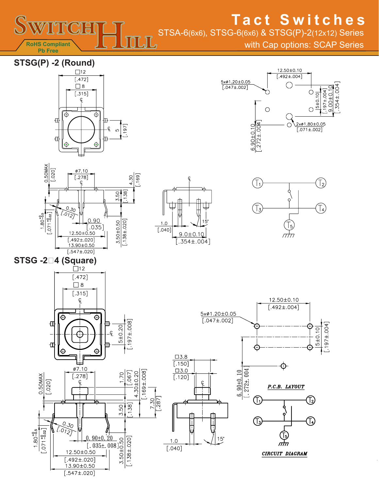

**M RoHS Compliant Pb Free**

with Cap options: SCAP Series

**STSG(P) -2 (Round)** 



 $\mathbb{L} \mathbb{L}$ 







 $\square$ 3.8

 $1.0$ 



**STSG -24 (Square)**